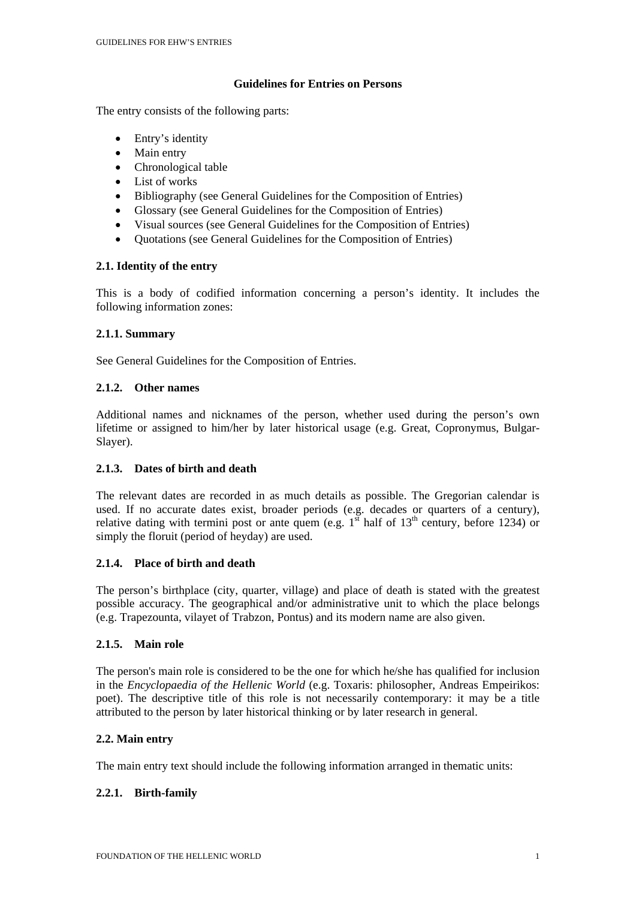## **Guidelines for Entries on Persons**

The entry consists of the following parts:

- Entry's identity
- Main entry
- Chronological table
- List of works
- Bibliography (see General Guidelines for the Composition of Entries)
- Glossary (see General Guidelines for the Composition of Entries)
- Visual sources (see General Guidelines for the Composition of Entries)
- Quotations (see General Guidelines for the Composition of Entries)

# **2.1. Identity of the entry**

This is a body of codified information concerning a person's identity. It includes the following information zones:

# **2.1.1. Summary**

See General Guidelines for the Composition of Entries.

## **2.1.2. Other names**

Additional names and nicknames of the person, whether used during the person's own lifetime or assigned to him/her by later historical usage (e.g. Great, Copronymus, Bulgar-Slayer).

# **2.1.3. Dates of birth and death**

The relevant dates are recorded in as much details as possible. The Gregorian calendar is used. If no accurate dates exist, broader periods (e.g. decades or quarters of a century), relative dating with termini post or ante quem (e.g.  $1^{s\bar{t}}$  half of  $13^{th}$  century, before 1234) or simply the floruit (period of heyday) are used.

### **2.1.4. Place of birth and death**

The person's birthplace (city, quarter, village) and place of death is stated with the greatest possible accuracy. The geographical and/or administrative unit to which the place belongs (e.g. Trapezounta, vilayet of Trabzon, Pontus) and its modern name are also given.

### **2.1.5. Main role**

The person's main role is considered to be the one for which he/she has qualified for inclusion in the *Encyclopaedia of the Hellenic World* (e.g. Toxaris: philosopher, Andreas Empeirikos: poet). The descriptive title of this role is not necessarily contemporary: it may be a title attributed to the person by later historical thinking or by later research in general.

# **2.2. Main entry**

The main entry text should include the following information arranged in thematic units:

# **2.2.1. Birth-family**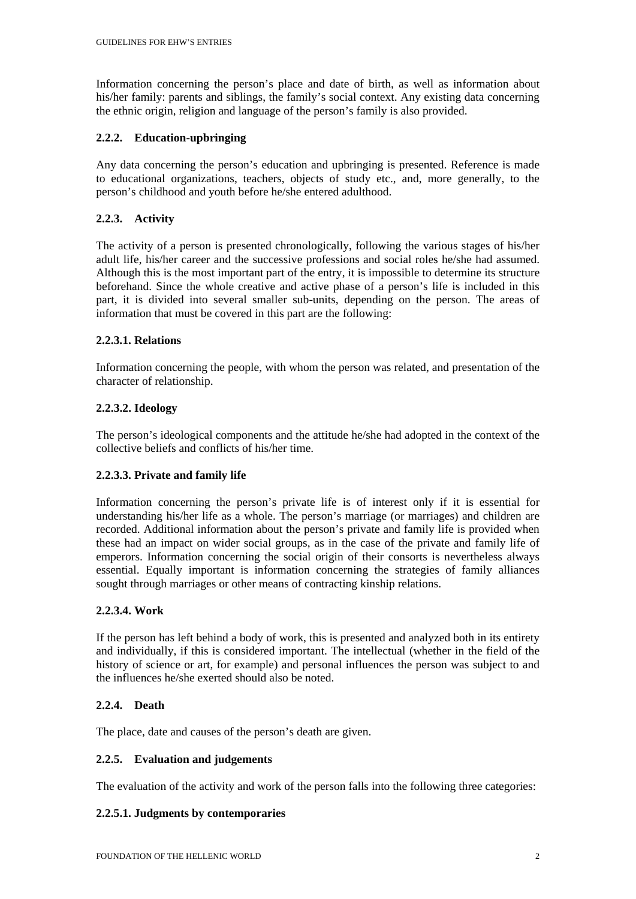Information concerning the person's place and date of birth, as well as information about his/her family: parents and siblings, the family's social context. Any existing data concerning the ethnic origin, religion and language of the person's family is also provided.

### **2.2.2. Education-upbringing**

Any data concerning the person's education and upbringing is presented. Reference is made to educational organizations, teachers, objects of study etc., and, more generally, to the person's childhood and youth before he/she entered adulthood.

## **2.2.3. Activity**

The activity of a person is presented chronologically, following the various stages of his/her adult life, his/her career and the successive professions and social roles he/she had assumed. Although this is the most important part of the entry, it is impossible to determine its structure beforehand. Since the whole creative and active phase of a person's life is included in this part, it is divided into several smaller sub-units, depending on the person. The areas of information that must be covered in this part are the following:

### **2.2.3.1. Relations**

Information concerning the people, with whom the person was related, and presentation of the character of relationship.

## **2.2.3.2. Ideology**

The person's ideological components and the attitude he/she had adopted in the context of the collective beliefs and conflicts of his/her time.

### **2.2.3.3. Private and family life**

Information concerning the person's private life is of interest only if it is essential for understanding his/her life as a whole. The person's marriage (or marriages) and children are recorded. Additional information about the person's private and family life is provided when these had an impact on wider social groups, as in the case of the private and family life of emperors. Information concerning the social origin of their consorts is nevertheless always essential. Equally important is information concerning the strategies of family alliances sought through marriages or other means of contracting kinship relations.

### **2.2.3.4. Work**

If the person has left behind a body of work, this is presented and analyzed both in its entirety and individually, if this is considered important. The intellectual (whether in the field of the history of science or art, for example) and personal influences the person was subject to and the influences he/she exerted should also be noted.

### **2.2.4. Death**

The place, date and causes of the person's death are given.

### **2.2.5. Evaluation and judgements**

The evaluation of the activity and work of the person falls into the following three categories:

### **2.2.5.1. Judgments by contemporaries**